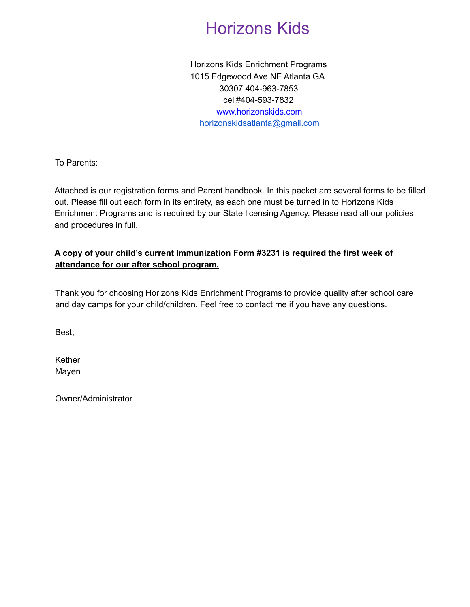# Horizons Kids

Horizons Kids Enrichment Programs 1015 Edgewood Ave NE Atlanta GA 30307 404-963-7853 cell#404-593-7832 www.horizonskids.com horizonskidsatlanta@gmail.com

To Parents:

Attached is our registration forms and Parent handbook. In this packet are several forms to be filled out. Please fill out each form in its entirety, as each one must be turned in to Horizons Kids Enrichment Programs and is required by our State licensing Agency. Please read all our policies and procedures in full.

#### **A copy of your child's current Immunization Form #3231 is required the first week of attendance for our after school program.**

Thank you for choosing Horizons Kids Enrichment Programs to provide quality after school care and day camps for your child/children. Feel free to contact me if you have any questions.

Best,

Kether Mayen

Owner/Administrator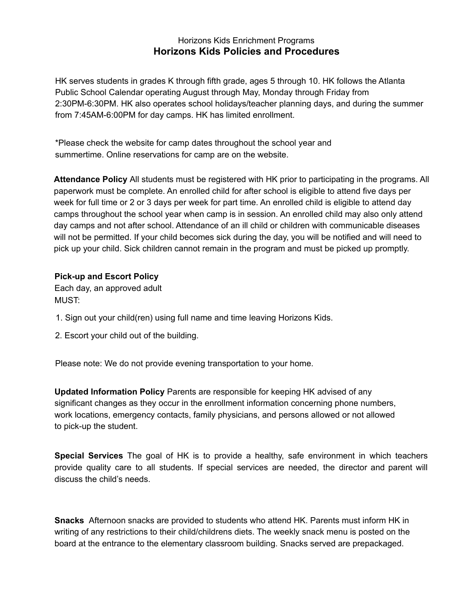#### Horizons Kids Enrichment Programs **Horizons Kids Policies and Procedures**

HK serves students in grades K through fifth grade, ages 5 through 10. HK follows the Atlanta Public School Calendar operating August through May, Monday through Friday from 2:30PM-6:30PM. HK also operates school holidays/teacher planning days, and during the summer from 7:45AM-6:00PM for day camps. HK has limited enrollment.

\*Please check the website for camp dates throughout the school year and summertime. Online reservations for camp are on the website.

**Attendance Policy** All students must be registered with HK prior to participating in the programs. All paperwork must be complete. An enrolled child for after school is eligible to attend five days per week for full time or 2 or 3 days per week for part time. An enrolled child is eligible to attend day camps throughout the school year when camp is in session. An enrolled child may also only attend day camps and not after school. Attendance of an ill child or children with communicable diseases will not be permitted. If your child becomes sick during the day, you will be notified and will need to pick up your child. Sick children cannot remain in the program and must be picked up promptly.

#### **Pick-up and Escort Policy**

Each day, an approved adult MUST:

- 1. Sign out your child(ren) using full name and time leaving Horizons Kids.
- 2. Escort your child out of the building.

Please note: We do not provide evening transportation to your home.

**Updated Information Policy** Parents are responsible for keeping HK advised of any significant changes as they occur in the enrollment information concerning phone numbers, work locations, emergency contacts, family physicians, and persons allowed or not allowed to pick-up the student.

**Special Services** The goal of HK is to provide a healthy, safe environment in which teachers provide quality care to all students. If special services are needed, the director and parent will discuss the child's needs.

**Snacks** Afternoon snacks are provided to students who attend HK. Parents must inform HK in writing of any restrictions to their child/childrens diets. The weekly snack menu is posted on the board at the entrance to the elementary classroom building. Snacks served are prepackaged.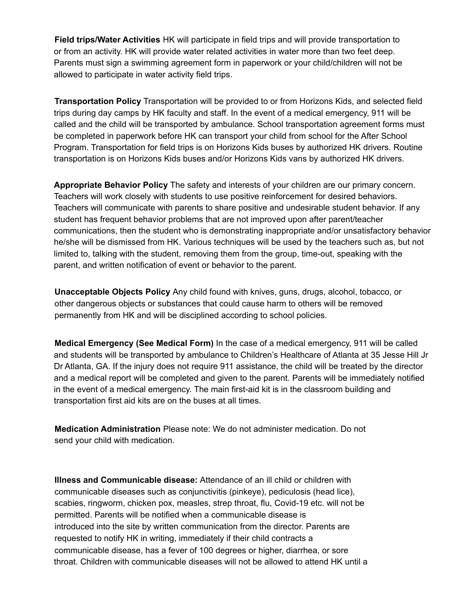**Field trips/Water Activities** HK will participate in field trips and will provide transportation to or from an activity. HK will provide water related activities in water more than two feet deep. Parents must sign a swimming agreement form in paperwork or your child/children will not be allowed to participate in water activity field trips.

**Transportation Policy** Transportation will be provided to or from Horizons Kids, and selected field trips during day camps by HK faculty and staff. In the event of a medical emergency, 911 will be called and the child will be transported by ambulance. School transportation agreement forms must be completed in paperwork before HK can transport your child from school for the After School Program. Transportation for field trips is on Horizons Kids buses by authorized HK drivers. Routine transportation is on Horizons Kids buses and/or Horizons Kids vans by authorized HK drivers.

**Appropriate Behavior Policy** The safety and interests of your children are our primary concern. Teachers will work closely with students to use positive reinforcement for desired behaviors. Teachers will communicate with parents to share positive and undesirable student behavior. If any student has frequent behavior problems that are not improved upon after parent/teacher communications, then the student who is demonstrating inappropriate and/or unsatisfactory behavior he/she will be dismissed from HK. Various techniques will be used by the teachers such as, but not limited to, talking with the student, removing them from the group, time-out, speaking with the parent, and written notification of event or behavior to the parent.

**Unacceptable Objects Policy** Any child found with knives, guns, drugs, alcohol, tobacco, or other dangerous objects or substances that could cause harm to others will be removed permanently from HK and will be disciplined according to school policies.

**Medical Emergency (See Medical Form)** In the case of a medical emergency, 911 will be called and students will be transported by ambulance to Children's Healthcare of Atlanta at 35 Jesse Hill Jr Dr Atlanta, GA. If the injury does not require 911 assistance, the child will be treated by the director and a medical report will be completed and given to the parent. Parents will be immediately notified in the event of a medical emergency. The main first-aid kit is in the classroom building and transportation first aid kits are on the buses at all times.

**Medication Administration** Please note: We do not administer medication. Do not send your child with medication.

**Illness and Communicable disease:** Attendance of an ill child or children with communicable diseases such as conjunctivitis (pinkeye), pediculosis (head lice), scabies, ringworm, chicken pox, measles, strep throat, flu, Covid-19 etc. will not be permitted. Parents will be notified when a communicable disease is introduced into the site by written communication from the director. Parents are requested to notify HK in writing, immediately if their child contracts a communicable disease, has a fever of 100 degrees or higher, diarrhea, or sore throat. Children with communicable diseases will not be allowed to attend HK until a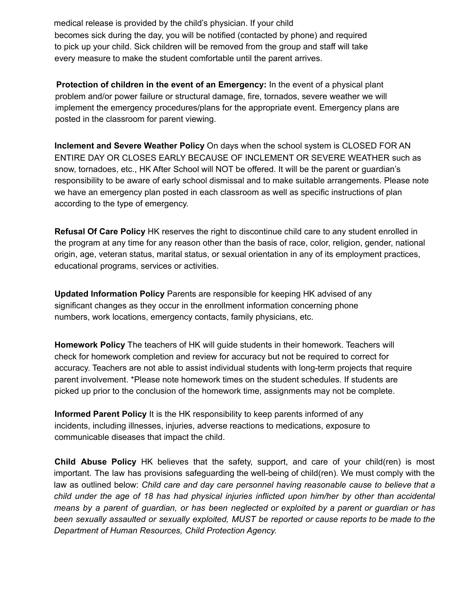medical release is provided by the child's physician. If your child becomes sick during the day, you will be notified (contacted by phone) and required to pick up your child. Sick children will be removed from the group and staff will take every measure to make the student comfortable until the parent arrives.

**Protection of children in the event of an Emergency:** In the event of a physical plant problem and/or power failure or structural damage, fire, tornados, severe weather we will implement the emergency procedures/plans for the appropriate event. Emergency plans are posted in the classroom for parent viewing.

**Inclement and Severe Weather Policy** On days when the school system is CLOSED FOR AN ENTIRE DAY OR CLOSES EARLY BECAUSE OF INCLEMENT OR SEVERE WEATHER such as snow, tornadoes, etc., HK After School will NOT be offered. It will be the parent or guardian's responsibility to be aware of early school dismissal and to make suitable arrangements. Please note we have an emergency plan posted in each classroom as well as specific instructions of plan according to the type of emergency.

**Refusal Of Care Policy** HK reserves the right to discontinue child care to any student enrolled in the program at any time for any reason other than the basis of race, color, religion, gender, national origin, age, veteran status, marital status, or sexual orientation in any of its employment practices, educational programs, services or activities.

**Updated Information Policy** Parents are responsible for keeping HK advised of any significant changes as they occur in the enrollment information concerning phone numbers, work locations, emergency contacts, family physicians, etc.

**Homework Policy** The teachers of HK will guide students in their homework. Teachers will check for homework completion and review for accuracy but not be required to correct for accuracy. Teachers are not able to assist individual students with long-term projects that require parent involvement. \*Please note homework times on the student schedules. If students are picked up prior to the conclusion of the homework time, assignments may not be complete.

**Informed Parent Policy** It is the HK responsibility to keep parents informed of any incidents, including illnesses, injuries, adverse reactions to medications, exposure to communicable diseases that impact the child.

**Child Abuse Policy** HK believes that the safety, support, and care of your child(ren) is most important. The law has provisions safeguarding the well-being of child(ren). We must comply with the law as outlined below: *Child care and day care personnel having reasonable cause to believe that a child under the age of 18 has had physical injuries inflicted upon him/her by other than accidental* means by a parent of guardian, or has been neglected or exploited by a parent or guardian or has *been sexually assaulted or sexually exploited, MUST be reported or cause reports to be made to the Department of Human Resources, Child Protection Agency.*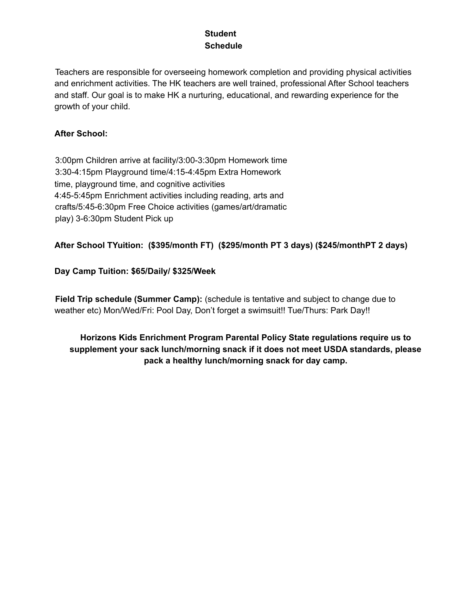#### **Student Schedule**

Teachers are responsible for overseeing homework completion and providing physical activities and enrichment activities. The HK teachers are well trained, professional After School teachers and staff. Our goal is to make HK a nurturing, educational, and rewarding experience for the growth of your child.

#### **After School:**

3:00pm Children arrive at facility/3:00-3:30pm Homework time 3:30-4:15pm Playground time/4:15-4:45pm Extra Homework time, playground time, and cognitive activities 4:45-5:45pm Enrichment activities including reading, arts and crafts/5:45-6:30pm Free Choice activities (games/art/dramatic play) 3-6:30pm Student Pick up

#### **After School TYuition: (\$395/month FT) (\$295/month PT 3 days) (\$245/monthPT 2 days)**

#### **Day Camp Tuition: \$65/Daily/ \$325/Week**

**Field Trip schedule (Summer Camp):** (schedule is tentative and subject to change due to weather etc) Mon/Wed/Fri: Pool Day, Don't forget a swimsuit!! Tue/Thurs: Park Day!!

**Horizons Kids Enrichment Program Parental Policy State regulations require us to supplement your sack lunch/morning snack if it does not meet USDA standards, please pack a healthy lunch/morning snack for day camp.**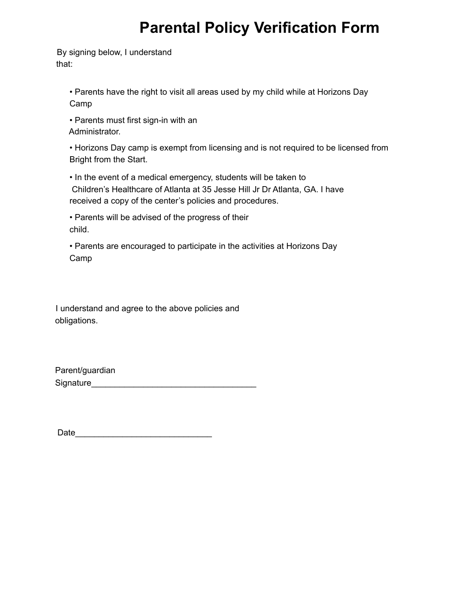# **Parental Policy Verification Form**

By signing below, I understand that:

> • Parents have the right to visit all areas used by my child while at Horizons Day Camp

• Parents must first sign-in with an Administrator.

• Horizons Day camp is exempt from licensing and is not required to be licensed from Bright from the Start.

• In the event of a medical emergency, students will be taken to Children's Healthcare of Atlanta at 35 Jesse Hill Jr Dr Atlanta, GA. I have received a copy of the center's policies and procedures.

• Parents will be advised of the progress of their child.

• Parents are encouraged to participate in the activities at Horizons Day Camp

I understand and agree to the above policies and obligations.

Parent/guardian Signature\_\_\_\_\_\_\_\_\_\_\_\_\_\_\_\_\_\_\_\_\_\_\_\_\_\_\_\_\_\_\_\_\_\_\_

Date\_\_\_\_\_\_\_\_\_\_\_\_\_\_\_\_\_\_\_\_\_\_\_\_\_\_\_\_\_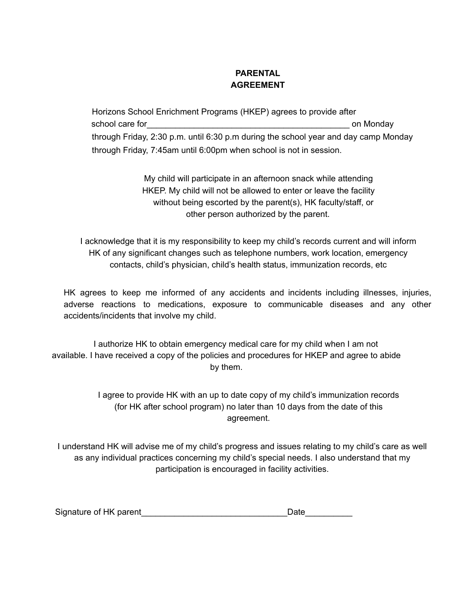#### **PARENTAL AGREEMENT**

Horizons School Enrichment Programs (HKEP) agrees to provide after school care for the school care for the school care for the school care for the school care for the school care for through Friday, 2:30 p.m. until 6:30 p.m during the school year and day camp Monday through Friday, 7:45am until 6:00pm when school is not in session.

> My child will participate in an afternoon snack while attending HKEP. My child will not be allowed to enter or leave the facility without being escorted by the parent(s), HK faculty/staff, or other person authorized by the parent.

I acknowledge that it is my responsibility to keep my child's records current and will inform HK of any significant changes such as telephone numbers, work location, emergency contacts, child's physician, child's health status, immunization records, etc

HK agrees to keep me informed of any accidents and incidents including illnesses, injuries, adverse reactions to medications, exposure to communicable diseases and any other accidents/incidents that involve my child.

I authorize HK to obtain emergency medical care for my child when I am not available. I have received a copy of the policies and procedures for HKEP and agree to abide by them.

> I agree to provide HK with an up to date copy of my child's immunization records (for HK after school program) no later than 10 days from the date of this agreement.

I understand HK will advise me of my child's progress and issues relating to my child's care as well as any individual practices concerning my child's special needs. I also understand that my participation is encouraged in facility activities.

| Signature of HK parent | Date |  |
|------------------------|------|--|
|                        |      |  |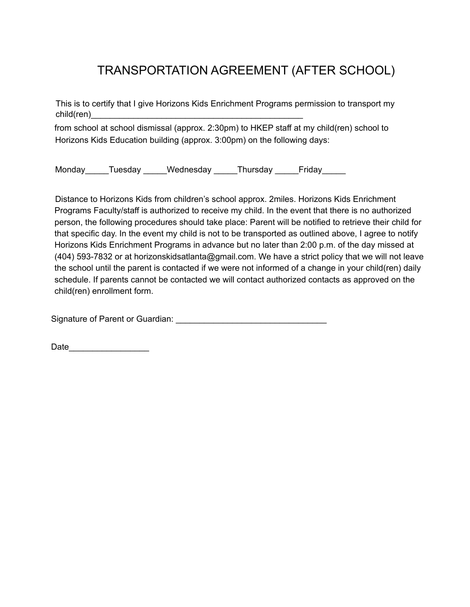# TRANSPORTATION AGREEMENT (AFTER SCHOOL)

This is to certify that I give Horizons Kids Enrichment Programs permission to transport my child(ren)

from school at school dismissal (approx. 2:30pm) to HKEP staff at my child(ren) school to Horizons Kids Education building (approx. 3:00pm) on the following days:

Monday Tuesday Wednesday Thursday Friday

Distance to Horizons Kids from children's school approx. 2miles. Horizons Kids Enrichment Programs Faculty/staff is authorized to receive my child. In the event that there is no authorized person, the following procedures should take place: Parent will be notified to retrieve their child for that specific day. In the event my child is not to be transported as outlined above, I agree to notify Horizons Kids Enrichment Programs in advance but no later than 2:00 p.m. of the day missed at (404) 593-7832 or at horizonskidsatlanta@gmail.com. We have a strict policy that we will not leave the school until the parent is contacted if we were not informed of a change in your child(ren) daily schedule. If parents cannot be contacted we will contact authorized contacts as approved on the child(ren) enrollment form.

Signature of Parent or Guardian: \_\_\_\_\_\_\_\_\_\_\_\_\_\_\_\_\_\_\_\_\_\_\_\_\_\_\_\_\_\_\_\_

Date and the set of  $\sim$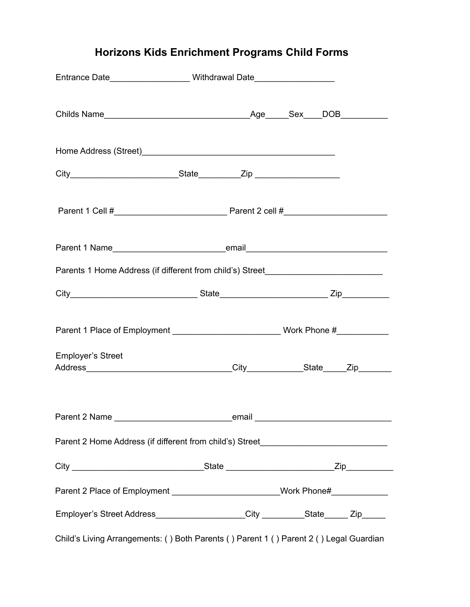## **Horizons Kids Enrichment Programs Child Forms**

| Entrance Date________________________Withdrawal Date____________________________       |  |  |
|----------------------------------------------------------------------------------------|--|--|
|                                                                                        |  |  |
|                                                                                        |  |  |
|                                                                                        |  |  |
|                                                                                        |  |  |
|                                                                                        |  |  |
| Parents 1 Home Address (if different from child's) Street_______________________       |  |  |
|                                                                                        |  |  |
|                                                                                        |  |  |
| <b>Employer's Street</b>                                                               |  |  |
|                                                                                        |  |  |
| Parent 2 Home Address (if different from child's) Street________________________       |  |  |
|                                                                                        |  |  |
| Parent 2 Place of Employment _________________________Work Phone#_______________       |  |  |
| Employer's Street Address____________________City __________State______Zip______       |  |  |
| Child's Living Arrangements: () Both Parents () Parent 1 () Parent 2 () Legal Guardian |  |  |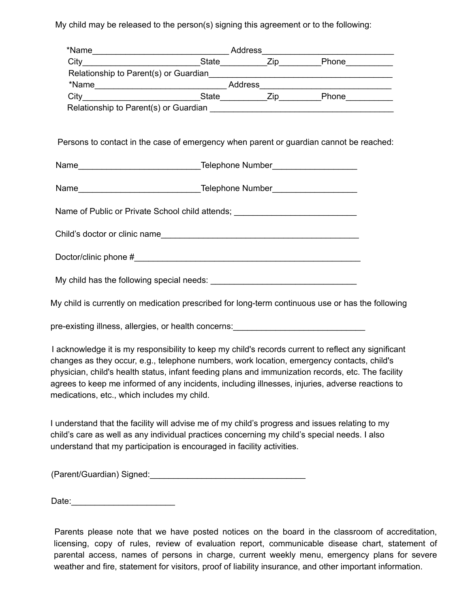My child may be released to the person(s) signing this agreement or to the following:

| Persons to contact in the case of emergency when parent or guardian cannot be reached:            |  |
|---------------------------------------------------------------------------------------------------|--|
|                                                                                                   |  |
|                                                                                                   |  |
|                                                                                                   |  |
|                                                                                                   |  |
| Name of Public or Private School child attends; ________________________________                  |  |
|                                                                                                   |  |
|                                                                                                   |  |
|                                                                                                   |  |
|                                                                                                   |  |
|                                                                                                   |  |
|                                                                                                   |  |
|                                                                                                   |  |
| My child is currently on medication prescribed for long-term continuous use or has the following  |  |
|                                                                                                   |  |
| pre-existing illness, allergies, or health concerns: ___________________________                  |  |
| Looknowledge it is my representitive to keep my objdie reserve ourrant to reflect any cignificant |  |

I acknowledge it is my responsibility to keep my child's records current to reflect any significant changes as they occur, e.g., telephone numbers, work location, emergency contacts, child's physician, child's health status, infant feeding plans and immunization records, etc. The facility agrees to keep me informed of any incidents, including illnesses, injuries, adverse reactions to medications, etc., which includes my child.

I understand that the facility will advise me of my child's progress and issues relating to my child's care as well as any individual practices concerning my child's special needs. I also understand that my participation is encouraged in facility activities.

(Parent/Guardian) Signed:\_\_\_\_\_\_\_\_\_\_\_\_\_\_\_\_\_\_\_\_\_\_\_\_\_\_\_\_\_\_\_\_\_

Date:\_\_\_\_\_\_\_\_\_\_\_\_\_\_\_\_\_\_\_\_\_\_

Parents please note that we have posted notices on the board in the classroom of accreditation, licensing, copy of rules, review of evaluation report, communicable disease chart, statement of parental access, names of persons in charge, current weekly menu, emergency plans for severe weather and fire, statement for visitors, proof of liability insurance, and other important information.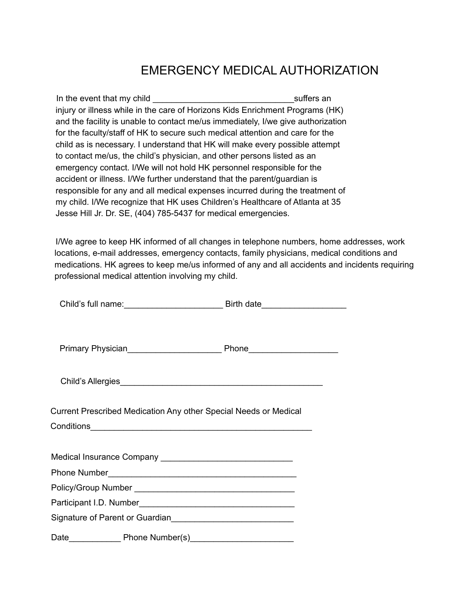## EMERGENCY MEDICAL AUTHORIZATION

In the event that my child **Example 20** Suffers an injury or illness while in the care of Horizons Kids Enrichment Programs (HK) and the facility is unable to contact me/us immediately, I/we give authorization for the faculty/staff of HK to secure such medical attention and care for the child as is necessary. I understand that HK will make every possible attempt to contact me/us, the child's physician, and other persons listed as an emergency contact. I/We will not hold HK personnel responsible for the accident or illness. I/We further understand that the parent/guardian is responsible for any and all medical expenses incurred during the treatment of my child. I/We recognize that HK uses Children's Healthcare of Atlanta at 35 Jesse Hill Jr. Dr. SE, (404) 785-5437 for medical emergencies.

I/We agree to keep HK informed of all changes in telephone numbers, home addresses, work locations, e-mail addresses, emergency contacts, family physicians, medical conditions and medications. HK agrees to keep me/us informed of any and all accidents and incidents requiring professional medical attention involving my child.

| Current Prescribed Medication Any other Special Needs or Medical |  |
|------------------------------------------------------------------|--|
|                                                                  |  |
|                                                                  |  |
|                                                                  |  |
|                                                                  |  |
|                                                                  |  |
|                                                                  |  |
| Signature of Parent or Guardian                                  |  |
|                                                                  |  |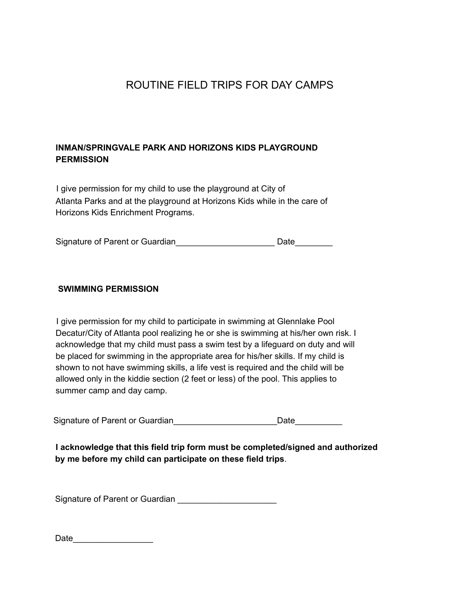### ROUTINE FIELD TRIPS FOR DAY CAMPS

#### **INMAN/SPRINGVALE PARK AND HORIZONS KIDS PLAYGROUND PERMISSION**

I give permission for my child to use the playground at City of Atlanta Parks and at the playground at Horizons Kids while in the care of Horizons Kids Enrichment Programs.

Signature of Parent or Guardian\_\_\_\_\_\_\_\_\_\_\_\_\_\_\_\_\_\_\_\_\_\_\_\_\_\_\_\_\_ Date\_\_\_\_\_\_\_\_\_\_

#### **SWIMMING PERMISSION**

I give permission for my child to participate in swimming at Glennlake Pool Decatur/City of Atlanta pool realizing he or she is swimming at his/her own risk. I acknowledge that my child must pass a swim test by a lifeguard on duty and will be placed for swimming in the appropriate area for his/her skills. If my child is shown to not have swimming skills, a life vest is required and the child will be allowed only in the kiddie section (2 feet or less) of the pool. This applies to summer camp and day camp.

Signature of Parent or Guardian<br>
<br>
<u>Date</u>

**I acknowledge that this field trip form must be completed/signed and authorized by me before my child can participate on these field trips**.

Signature of Parent or Guardian \_\_\_\_\_\_\_\_\_\_\_\_\_\_\_\_\_\_\_\_\_\_

| Date |  |
|------|--|
|      |  |
|      |  |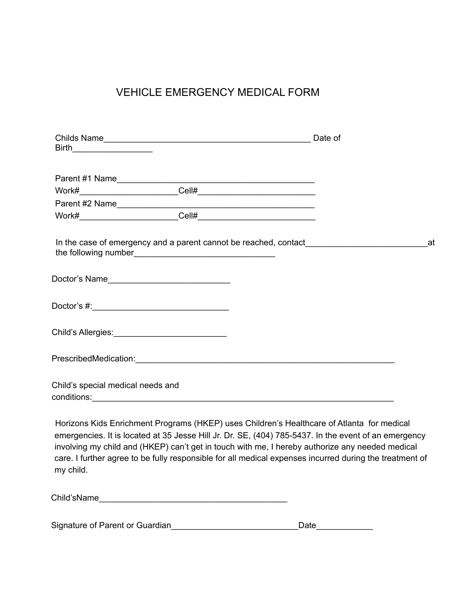### VEHICLE EMERGENCY MEDICAL FORM

| Parent #1 Name                                                                                                                                                                                                                                                                                       |  |    |
|------------------------------------------------------------------------------------------------------------------------------------------------------------------------------------------------------------------------------------------------------------------------------------------------------|--|----|
|                                                                                                                                                                                                                                                                                                      |  |    |
| Parent #2 Name                                                                                                                                                                                                                                                                                       |  |    |
|                                                                                                                                                                                                                                                                                                      |  |    |
|                                                                                                                                                                                                                                                                                                      |  | at |
| Doctor's Name                                                                                                                                                                                                                                                                                        |  |    |
|                                                                                                                                                                                                                                                                                                      |  |    |
| Child's Allergies: ______________________________                                                                                                                                                                                                                                                    |  |    |
|                                                                                                                                                                                                                                                                                                      |  |    |
| Child's special medical needs and                                                                                                                                                                                                                                                                    |  |    |
|                                                                                                                                                                                                                                                                                                      |  |    |
| Horizons Kids Enrichment Programs (HKEP) uses Children's Healthcare of Atlanta for medical<br>emergencies. It is located at 35 Jesse Hill Jr. Dr. SE, (404) 785-5437. In the event of an emergency<br>involving my child and (HKED) can't get in touch with me I hereby authorize any needed medical |  |    |

involving my child and (HKEP) can't get in touch with me, I hereby authorize any needed medical care. I further agree to be fully responsible for all medical expenses incurred during the treatment of my child.

|  | Signature of Parent or Guardian | Date |
|--|---------------------------------|------|
|--|---------------------------------|------|